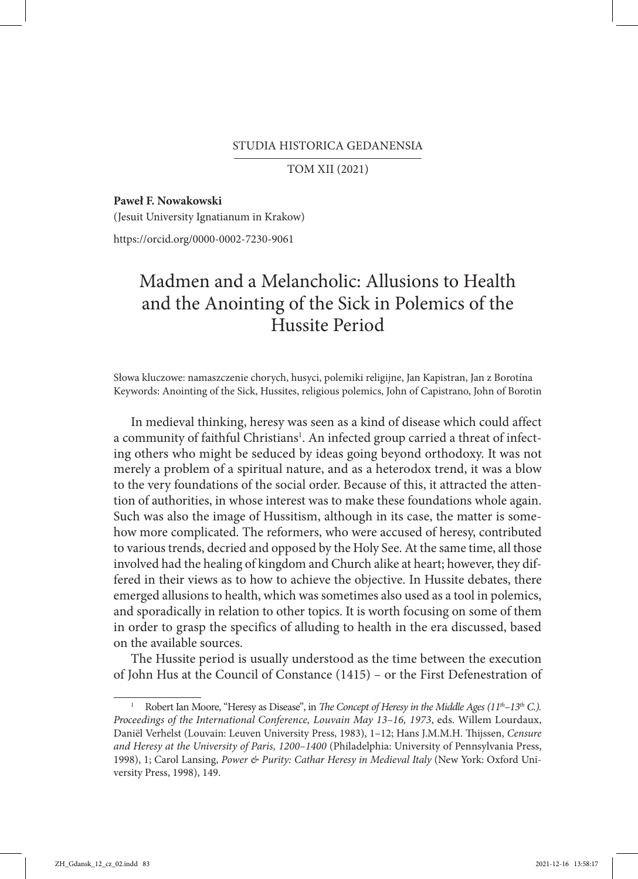## STUDIA HISTORICA GEDANENSIA

TOM XII (2021)

**Paweł F. Nowakowski**

(Jesuit University Ignatianum in Krakow)

https://orcid.org/0000-0002-7230-9061

## Madmen and a Melancholic: Allusions to Health and the Anointing of the Sick in Polemics of the Hussite Period

Słowa kluczowe: namaszczenie chorych, husyci, polemiki religijne, Jan Kapistran, Jan z Borotína Keywords: Anointing of the Sick, Hussites, religious polemics, John of Capistrano, John of Borotin

In medieval thinking, heresy was seen as a kind of disease which could affect a community of faithful Christians<sup>1</sup>. An infected group carried a threat of infecting others who might be seduced by ideas going beyond orthodoxy. It was not merely a problem of a spiritual nature, and as a heterodox trend, it was a blow to the very foundations of the social order. Because of this, it attracted the attention of authorities, in whose interest was to make these foundations whole again. Such was also the image of Hussitism, although in its case, the matter is somehow more complicated. The reformers, who were accused of heresy, contributed to various trends, decried and opposed by the Holy See. At the same time, all those involved had the healing of kingdom and Church alike at heart; however, they differed in their views as to how to achieve the objective. In Hussite debates, there emerged allusions to health, which was sometimes also used as a tool in polemics, and sporadically in relation to other topics. It is worth focusing on some of them in order to grasp the specifics of alluding to health in the era discussed, based on the available sources.

The Hussite period is usually understood as the time between the execution of John Hus at the Council of Constance (1415) – or the First Defenestration of

Robert Ian Moore, "Heresy as Disease", in *The Concept of Heresy in the Middle Ages* (11<sup>th</sup>-13<sup>th</sup> C.). *Proceedings of the International Conference, Louvain May 13–16, 1973*, eds. Willem Lourdaux, Daniël Verhelst (Louvain: Leuven University Press, 1983), 1–12; Hans J.M.M.H. Thijssen, *Censure and Heresy at the University of Paris, 1200–1400* (Philadelphia: University of Pennsylvania Press, 1998), 1; Carol Lansing, Power & Purity: Cathar Heresy in Medieval Italy (New York: Oxford University Press, 1998), 149.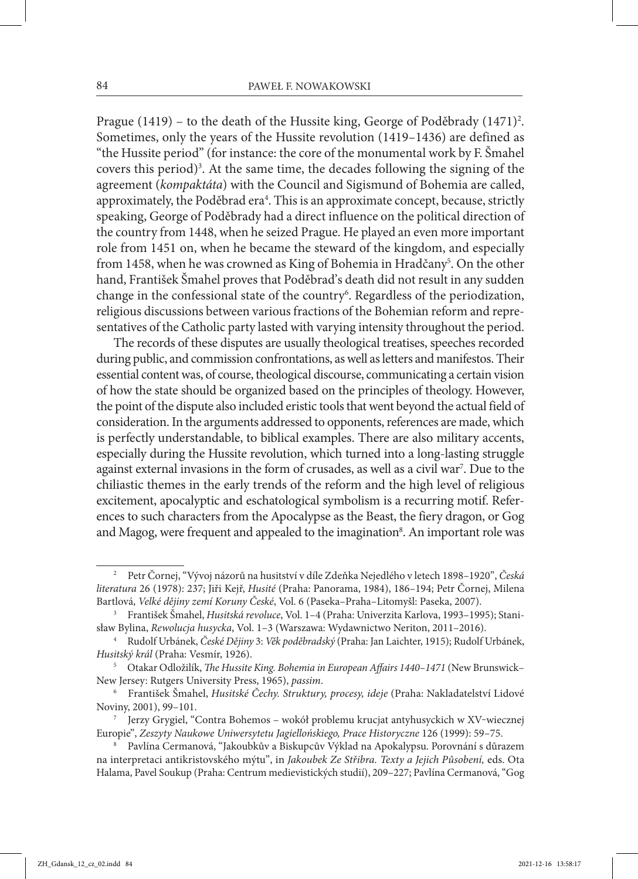Prague (1419) – to the death of the Hussite king, George of Poděbrady (1471)<sup>2</sup>. Sometimes, only the years of the Hussite revolution (1419–1436) are defined as "the Hussite period" (for instance: the core of the monumental work by F. Šmahel covers this period)<sup>3</sup>. At the same time, the decades following the signing of the agreement (*kompaktáta*) with the Council and Sigismund of Bohemia are called, approximately, the Poděbrad era<sup>4</sup>. This is an approximate concept, because, strictly speaking, George of Poděbrady had a direct influence on the political direction of the country from 1448, when he seized Prague. He played an even more important role from 1451 on, when he became the steward of the kingdom, and especially from 1458, when he was crowned as King of Bohemia in Hradčany<sup>5</sup>. On the other hand, František Šmahel proves that Poděbrad's death did not result in any sudden change in the confessional state of the country6 . Regardless of the periodization, religious discussions between various fractions of the Bohemian reform and repre‑ sentatives of the Catholic party lasted with varying intensity throughout the period.

The records of these disputes are usually theological treatises, speeches recorded during public, and commission confrontations, as well as letters and manifestos. Their essential content was, of course, theological discourse, communicating a certain vision of how the state should be organized based on the principles of theology. However, the point of the dispute also included eristic tools that went beyond the actual field of consideration. In the arguments addressed to opponents, references are made, which is perfectly understandable, to biblical examples. There are also military accents, especially during the Hussite revolution, which turned into a long-lasting struggle against external invasions in the form of crusades, as well as a civil war<sup>7</sup>. Due to the chiliastic themes in the early trends of the reform and the high level of religious excitement, apocalyptic and eschatological symbolism is a recurring motif. References to such characters from the Apocalypse as the Beast, the fiery dragon, or Gog and Magog, were frequent and appealed to the imagination<sup>8</sup>. An important role was

<sup>2</sup> Petr Čornej, "Vývoj názorů na husitství v díle Zdeňka Nejedlého v letech 1898–1920", *Česká literatura* 26 (1978): 237; Jiři Kejř, *Husité* (Praha: Panorama, 1984), 186–194; Petr Čornej, Milena Bartlová, *Velké dějiny zemí Koruny České*, Vol. 6 (Paseka–Praha–Litomyšl: Paseka, 2007).

<sup>3</sup> František Šmahel, *Husitská revoluce*, Vol. 1–4 (Praha: Univerzita Karlova, 1993–1995); Stani‑ sław Bylina, *Rewolucja husycka*, Vol. 1–3 (Warszawa: Wydawnictwo Neriton, 2011–2016).

<sup>4</sup> Rudolf Urbánek, *České Dějiny* 3: *Věk poděbradský* (Praha: Jan Laichter, 1915); Rudolf Urbánek, *Husitský král* (Praha: Vesmír, 1926).

<sup>5</sup> Otakar Odložilík, *The Hussite King. Bohemia in European Affairs 1440–1471* (New Brunswick– New Jersey: Rutgers University Press, 1965), *passim*.

<sup>6</sup> František Šmahel, *Husitské Čechy. Struktury, procesy, ideje* (Praha: Nakladatelství Lidové Noviny, 2001), 99–101.

Jerzy Grygiel, "Contra Bohemos – wokół problemu krucjat antyhusyckich w XV-wiecznej Europie", *Zeszyty Naukowe Uniwersytetu Jagiellońskiego, Prace Historyczne* 126 (1999): 59–75.

<sup>8</sup> Pavlína Cermanová, "Jakoubkův a Biskupcův Výklad na Apokalypsu. Porovnání s důrazem na interpretaci antikristovského mýtu", in *Jakoubek Ze Střibra. Texty a Jejich Působení,* eds. Ota Halama, Pavel Soukup (Praha: Centrum medievistických studií), 209–227; Pavlína Cermanová, "Gog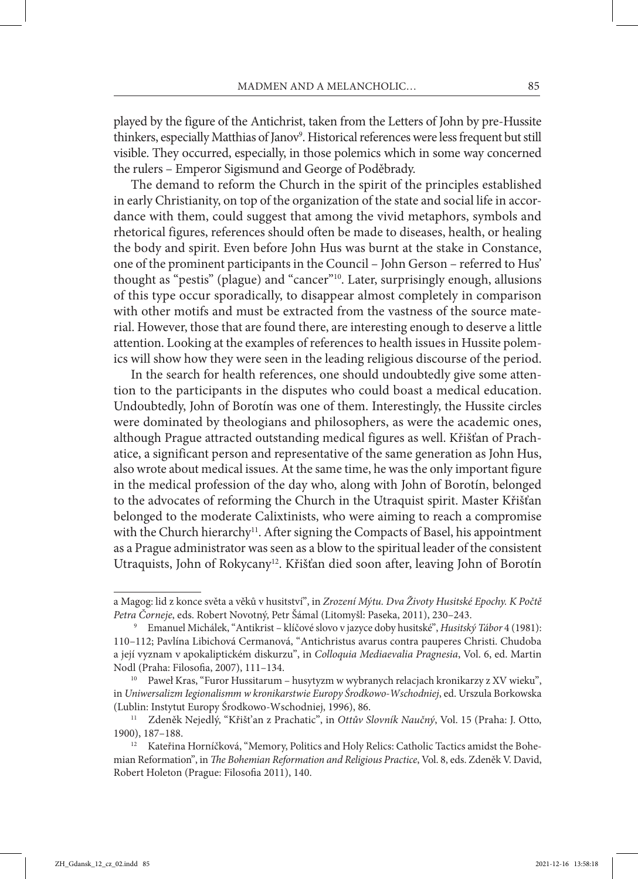played by the figure of the Antichrist, taken from the Letters of John by pre-Hussite thinkers, especially Matthias of Janov<sup>9</sup>. Historical references were less frequent but still visible. They occurred, especially, in those polemics which in some way concerned the rulers – Emperor Sigismund and George of Poděbrady.

The demand to reform the Church in the spirit of the principles established in early Christianity, on top of the organization of the state and social life in accordance with them, could suggest that among the vivid metaphors, symbols and rhetorical figures, references should often be made to diseases, health, or healing the body and spirit. Even before John Hus was burnt at the stake in Constance, one of the prominent participants in the Council – John Gerson – referred to Hus' thought as "pestis" (plague) and "cancer"10. Later, surprisingly enough, allusions of this type occur sporadically, to disappear almost completely in comparison with other motifs and must be extracted from the vastness of the source mate– rial. However, those that are found there, are interesting enough to deserve a little attention. Looking at the examples of references to health issues in Hussite polemics will show how they were seen in the leading religious discourse of the period.

In the search for health references, one should undoubtedly give some attention to the participants in the disputes who could boast a medical education. Undoubtedly, John of Borotín was one of them. Interestingly, the Hussite circles were dominated by theologians and philosophers, as were the academic ones, although Prague attracted outstanding medical figures as well. Křišťan of Prachatice, a significant person and representative of the same generation as John Hus, also wrote about medical issues. At the same time, he was the only important figure in the medical profession of the day who, along with John of Borotín, belonged to the advocates of reforming the Church in the Utraquist spirit. Master Křišťan belonged to the moderate Calixtinists, who were aiming to reach a compromise with the Church hierarchy<sup>11</sup>. After signing the Compacts of Basel, his appointment as a Prague administrator was seen as a blow to the spiritual leader of the consistent Utraquists, John of Rokycany<sup>12</sup>. Křišťan died soon after, leaving John of Borotín

a Magog: lid z konce světa a věků v husitství", in *Zrození Mýtu. Dva Životy Husitské Epochy. K Počtě Petra Čorneje*, eds. Robert Novotný, Petr Šámal (Litomyšl: Paseka, 2011), 230–243.

<sup>9</sup> Emanuel Michálek, "Antikrist – klíčové slovo v jazyce doby husitské", *Husitský Tábor* 4 (1981): 110–112; Pavlína Libichová Cermanová, "Antichristus avarus contra pauperes Christi. Chudoba a její vyznam v apokaliptickém diskurzu", in *Colloquia Mediaevalia Pragnesia*, Vol. 6, ed. Martin Nodl (Praha: Filosofia, 2007), 111–134. 10 Paweł Kras, "Furor Hussitarum – husytyzm w wybranych relacjach kronikarzy z XV wieku",

in *Uniwersalizm Iegionalismm w kronikarstwie Europy Środkowo-Wschodniej*, ed. Urszula Borkowska (Lublin: Instytut Europy Środkowo-Wschodniej, 1996), 86.

<sup>11</sup> Zdeněk Nejedlý, "Křišt'an z Prachatic", in *Ottův Slovník Naučný*, Vol. 15 (Praha: J. Otto, 1900), 187–188.<br><sup>12</sup> Kateřina Horníčková, "Memory, Politics and Holy Relics: Catholic Tactics amidst the Bohe-

mian Reformation", in *The Bohemian Reformation and Religious Practice*, Vol. 8, eds. Zdeněk V. David, Robert Holeton (Prague: Filosofia 2011), 140.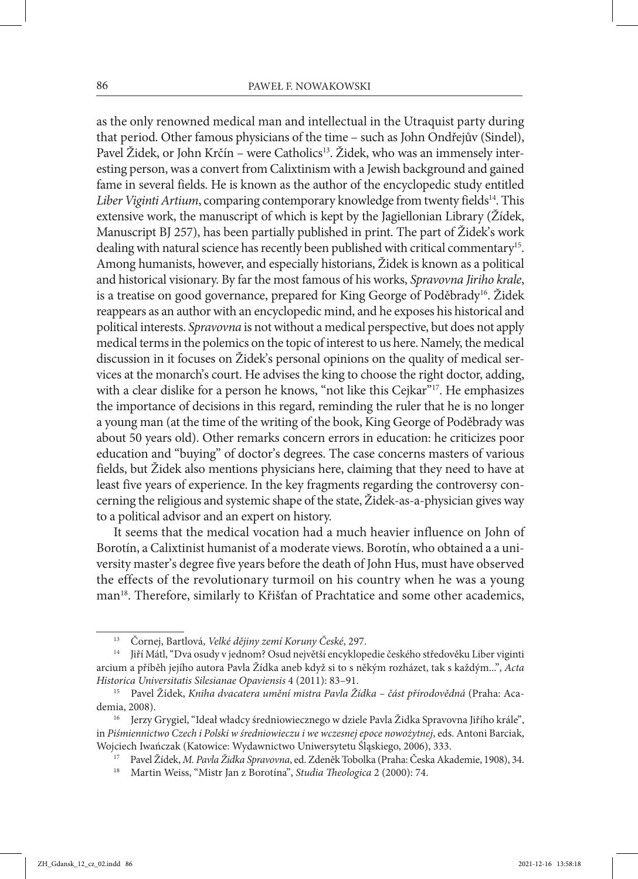as the only renowned medical man and intellectual in the Utraquist party during that period. Other famous physicians of the time – such as John Ondřejův (Sindel), Pavel Židek, or John Krčín – were Catholics<sup>13</sup>. Židek, who was an immensely interesting person, was a convert from Calixtinism with a Jewish background and gained fame in several fields. He is known as the author of the encyclopedic study entitled Liber Viginti Artium, comparing contemporary knowledge from twenty fields<sup>14</sup>. This extensive work, the manuscript of which is kept by the Jagiellonian Library (Žídek, Manuscript BJ 257), has been partially published in print. The part of Židek's work dealing with natural science has recently been published with critical commentary<sup>15</sup>. Among humanists, however, and especially historians, Židek is known as a political and historical visionary. By far the most famous of his works, *Spravovna Jiriho krale*, is a treatise on good governance, prepared for King George of Poděbrady<sup>16</sup>. Židek reappears as an author with an encyclopedic mind, and he exposes his historical and political interests. *Spravovna* is not without a medical perspective, but does not apply medical terms in the polemics on the topic of interest to us here. Namely, the medical discussion in it focuses on Židek's personal opinions on the quality of medical ser‑ vices at the monarch's court. He advises the king to choose the right doctor, adding, with a clear dislike for a person he knows, "not like this Cejkar"<sup>17</sup>. He emphasizes the importance of decisions in this regard, reminding the ruler that he is no longer a young man (at the time of the writing of the book, King George of Poděbrady was about 50 years old). Other remarks concern errors in education: he criticizes poor education and "buying" of doctor's degrees. The case concerns masters of various fields, but Židek also mentions physicians here, claiming that they need to have at least five years of experience. In the key fragments regarding the controversy concerning the religious and systemic shape of the state, Židek-as-a-physician gives way to a political advisor and an expert on history.

It seems that the medical vocation had a much heavier influence on John of Borotín, a Calixtinist humanist of a moderate views. Borotín, who obtained a a university master's degree five years before the death of John Hus, must have observed the effects of the revolutionary turmoil on his country when he was a young man<sup>18</sup>. Therefore, similarly to Křišťan of Prachtatice and some other academics,

<sup>13</sup> Čornej, Bartlová, *Velké dějiny zemí Koruny České*, 297.

<sup>14</sup> Jiří Mátl, "Dva osudy v jednom? Osud největší encyklopedie českého středověku Liber viginti arcium a příběh jejího autora Pavla Žídka aneb když si to s někým rozházet, tak s každým...", *Acta Historica Universitatis Silesianae Opaviensis* 4 (2011): 83–91.

<sup>15</sup> Pavel Žídek, *Kniha dvacatera umění mistra Pavla Žídka – část přírodovědná* (Praha: Aca‑ demia, 2008).

<sup>16</sup> Jerzy Grygiel, "Ideał władcy średniowiecznego w dziele Pavla Židka Spravovna Jiřího krále", in *Piśmiennictwo Czech i Polski w średniowieczu i we wczesnej epoce nowożytnej*, eds. Antoni Barciak, Wojciech Iwańczak (Katowice: Wydawnictwo Uniwersytetu Śląskiego, 2006), 333.

<sup>17</sup> Pavel Žídek, *M. Pavla Židka Spravovna*, ed. Zdeněk Tobolka (Praha: Česka Akademie, 1908), 34.

<sup>18</sup> Martin Weiss, "Mistr Jan z Borotína", *Studia Theologica* 2 (2000): 74.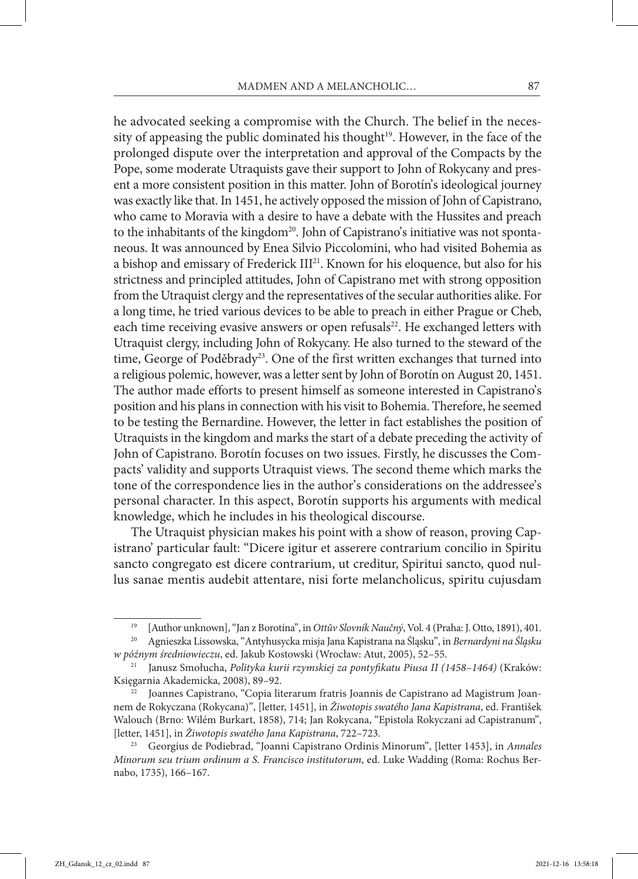he advocated seeking a compromise with the Church. The belief in the necessity of appeasing the public dominated his thought<sup>19</sup>. However, in the face of the prolonged dispute over the interpretation and approval of the Compacts by the Pope, some moderate Utraquists gave their support to John of Rokycany and present a more consistent position in this matter. John of Borotín's ideological journey was exactly like that. In 1451, he actively opposed the mission of John of Capistrano, who came to Moravia with a desire to have a debate with the Hussites and preach to the inhabitants of the kingdom<sup>20</sup>. John of Capistrano's initiative was not spontaneous. It was announced by Enea Silvio Piccolomini, who had visited Bohemia as a bishop and emissary of Frederick III<sup>21</sup>. Known for his eloquence, but also for his strictness and principled attitudes, John of Capistrano met with strong opposition from the Utraquist clergy and the representatives of the secular authorities alike. For a long time, he tried various devices to be able to preach in either Prague or Cheb, each time receiving evasive answers or open refusals<sup>22</sup>. He exchanged letters with Utraquist clergy, including John of Rokycany. He also turned to the steward of the time, George of Poděbrady<sup>23</sup>. One of the first written exchanges that turned into a religious polemic, however, was a letter sent by John of Borotín on August 20, 1451. The author made efforts to present himself as someone interested in Capistrano's position and his plans in connection with his visit to Bohemia. Therefore, he seemed to be testing the Bernardine. However, the letter in fact establishes the position of Utraquists in the kingdom and marks the start of a debate preceding the activity of John of Capistrano. Borotín focuses on two issues. Firstly, he discusses the Com‑ pacts' validity and supports Utraquist views. The second theme which marks the tone of the correspondence lies in the author's considerations on the addressee's personal character. In this aspect, Borotín supports his arguments with medical knowledge, which he includes in his theological discourse.

The Utraquist physician makes his point with a show of reason, proving Capistrano' particular fault: "Dicere igitur et asserere contrarium concilio in Spiritu sancto congregato est dicere contrarium, ut creditur, Spiritui sancto, quod nullus sanae mentis audebit attentare, nisi forte melancholicus, spiritu cujusdam

<sup>19</sup> [Author unknown], "Jan z Borotína", in *Ottův Slovník Naučný*, Vol. 4 (Praha: J. Otto, 1891), 401.

<sup>20</sup> Agnieszka Lissowska, "Antyhusycka misja Jana Kapistrana na Śląsku", in *Bernardyni na Śląsku w późnym średniowieczu*, ed. Jakub Kostowski (Wrocław: Atut, 2005), 52–55.

<sup>21</sup> Janusz Smołucha, *Polityka kurii rzymskiej za pontyfikatu Piusa II (1458–1464)* (Kraków: Księgarnia Akademicka, 2008), 89–92.

<sup>&</sup>lt;sup>22</sup> Joannes Capistrano, "Copia literarum fratris Joannis de Capistrano ad Magistrum Joannem de Rokyczana (Rokycana)", [letter, 1451], in *Žiwotopis swatého Jana Kapistrana*, ed. František Walouch (Brno: Wilém Burkart, 1858), 714; Jan Rokycana, "Epistola Rokyczani ad Capistranum", [letter, 1451], in *Žiwotopis swatého Jana Kapistrana*, 722–723.

<sup>23</sup> Georgius de Podiebrad, "Joanni Capistrano Ordinis Minorum", [letter 1453], in *Annales Minorum seu trium ordinum a S. Francisco institutorum*, ed. Luke Wadding (Roma: Rochus Ber‑ nabo, 1735), 166–167.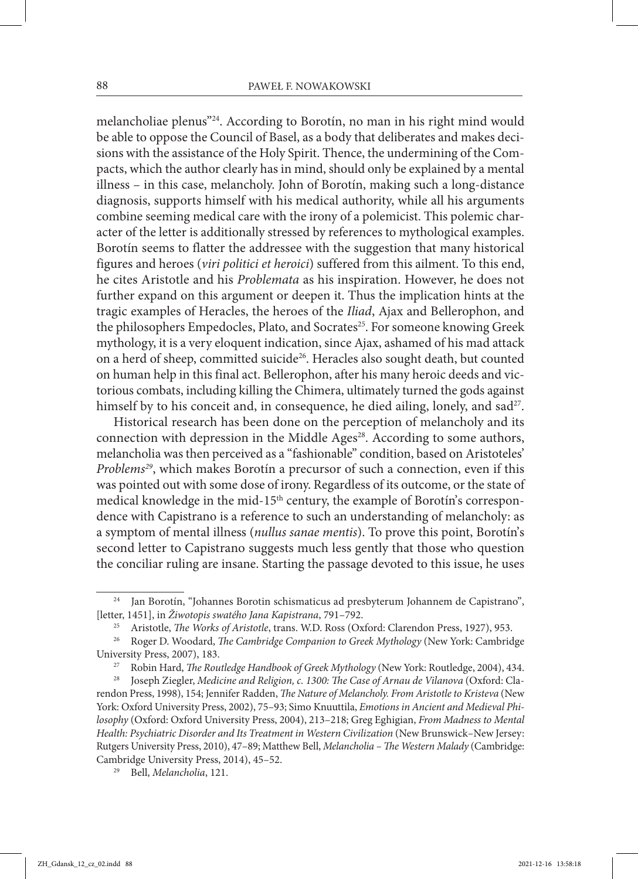melancholiae plenus"24. According to Borotín, no man in his right mind would be able to oppose the Council of Basel, as a body that deliberates and makes decisions with the assistance of the Holy Spirit. Thence, the undermining of the Compacts, which the author clearly has in mind, should only be explained by a mental illness – in this case, melancholy. John of Borotín, making such a long-distance diagnosis, supports himself with his medical authority, while all his arguments combine seeming medical care with the irony of a polemicist. This polemic character of the letter is additionally stressed by references to mythological examples. Borotín seems to flatter the addressee with the suggestion that many historical figures and heroes (*viri politici et heroici*) suffered from this ailment. To this end, he cites Aristotle and his *Problemata* as his inspiration. However, he does not further expand on this argument or deepen it. Thus the implication hints at the tragic examples of Heracles, the heroes of the *Iliad*, Ajax and Bellerophon, and the philosophers Empedocles, Plato, and Socrates<sup>25</sup>. For someone knowing Greek mythology, it is a very eloquent indication, since Ajax, ashamed of his mad attack on a herd of sheep, committed suicide<sup>26</sup>. Heracles also sought death, but counted on human help in this final act. Bellerophon, after his many heroic deeds and victorious combats, including killing the Chimera, ultimately turned the gods against himself by to his conceit and, in consequence, he died ailing, lonely, and sad<sup>27</sup>.

Historical research has been done on the perception of melancholy and its connection with depression in the Middle Ages<sup>28</sup>. According to some authors, melancholia was then perceived as a "fashionable" condition, based on Aristoteles' *Problems29*, which makes Borotín a precursor of such a connection, even if this was pointed out with some dose of irony. Regardless of its outcome, or the state of medical knowledge in the mid-15<sup>th</sup> century, the example of Borotín's correspondence with Capistrano is a reference to such an understanding of melancholy: as a symptom of mental illness (*nullus sanae mentis*). To prove this point, Borotín's second letter to Capistrano suggests much less gently that those who question the conciliar ruling are insane. Starting the passage devoted to this issue, he uses

Jan Borotín, "Johannes Borotin schismaticus ad presbyterum Johannem de Capistrano", [letter, 1451], in *Žiwotopis swatého Jana Kapistrana*, 791–792.

<sup>25</sup> Aristotle, *The Works of Aristotle*, trans. W.D. Ross (Oxford: Clarendon Press, 1927), 953.

<sup>26</sup> Roger D. Woodard, *The Cambridge Companion to Greek Mythology* (New York: Cambridge University Press, 2007), 183.

<sup>27</sup> Robin Hard, *The Routledge Handbook of Greek Mythology* (New York: Routledge, 2004), 434.

Joseph Ziegler, *Medicine and Religion, c. 1300: The Case of Arnau de Vilanova* (Oxford: Clarendon Press, 1998), 154; Jennifer Radden, *The Nature of Melancholy. From Aristotle to Kristeva* (New York: Oxford University Press, 2002), 75–93; Simo Knuuttila, *Emotions in Ancient and Medieval Philosophy* (Oxford: Oxford University Press, 2004), 213–218; Greg Eghigian, *From Madness to Mental Health: Psychiatric Disorder and Its Treatment in Western Civilization* (New Brunswick*–*New Jersey:

Rutgers University Press, 2010), 47–89; Matthew Bell, *Melancholia – The Western Malady* (Cambridge: Cambridge University Press, 2014), 45–52.

<sup>29</sup> Bell, *Melancholia*, 121.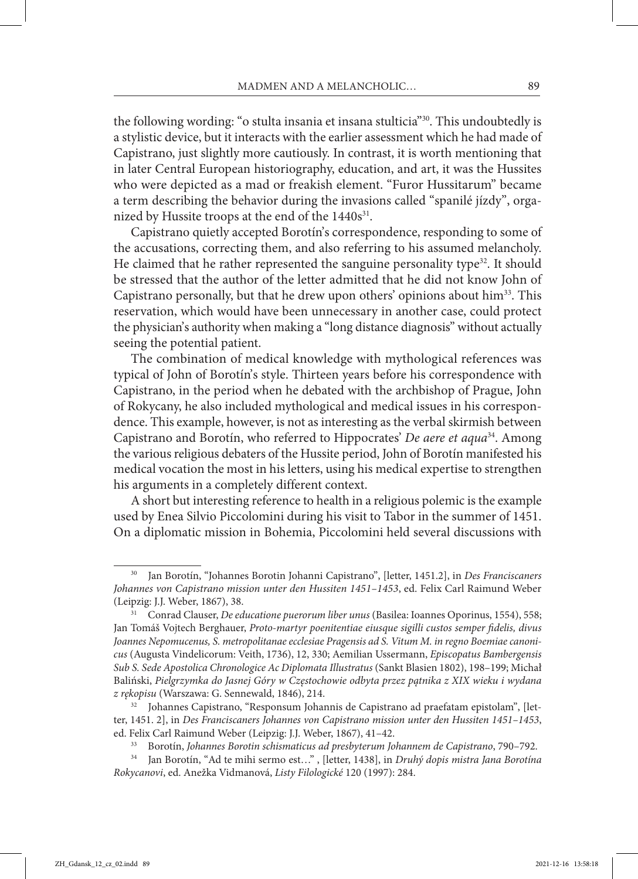the following wording: "o stulta insania et insana stulticia"30. This undoubtedly is a stylistic device, but it interacts with the earlier assessment which he had made of Capistrano, just slightly more cautiously. In contrast, it is worth mentioning that in later Central European historiography, education, and art, it was the Hussites who were depicted as a mad or freakish element. "Furor Hussitarum" became a term describing the behavior during the invasions called "spanilé jízdy", organized by Hussite troops at the end of the 1440s<sup>31</sup>.

Capistrano quietly accepted Borotín's correspondence, responding to some of the accusations, correcting them, and also referring to his assumed melancholy. He claimed that he rather represented the sanguine personality type<sup>32</sup>. It should be stressed that the author of the letter admitted that he did not know John of Capistrano personally, but that he drew upon others' opinions about him33. This reservation, which would have been unnecessary in another case, could protect the physician's authority when making a "long distance diagnosis" without actually seeing the potential patient.

The combination of medical knowledge with mythological references was typical of John of Borotín's style. Thirteen years before his correspondence with Capistrano, in the period when he debated with the archbishop of Prague, John of Rokycany, he also included mythological and medical issues in his correspondence. This example, however, is not as interesting as the verbal skirmish between Capistrano and Borotín, who referred to Hippocrates' *De aere et aqua*34. Among the various religious debaters of the Hussite period, John of Borotín manifested his medical vocation the most in his letters, using his medical expertise to strengthen his arguments in a completely different context.

A short but interesting reference to health in a religious polemic is the example used by Enea Silvio Piccolomini during his visit to Tabor in the summer of 1451. On a diplomatic mission in Bohemia, Piccolomini held several discussions with

<sup>30</sup> Jan Borotín, "Johannes Borotin Johanni Capistrano", [letter, 1451.2], in *Des Franciscaners Johannes von Capistrano mission unter den Hussiten 1451–1453*, ed. Felix Carl Raimund Weber (Leipzig: J.J. Weber, 1867), 38.

<sup>31</sup> Conrad Clauser, *De educatione puerorum liber unus* (Basilea: Ioannes Oporinus, 1554), 558; Jan Tomáš Vojtech Berghauer, *Proto-martyr poenitentiae eiusque sigilli custos semper fidelis, divus Joannes Nepomucenus, S. metropolitanae ecclesiae Pragensis ad S. Vitum M. in regno Boemiae canonicus* (Augusta Vindelicorum: Veith, 1736), 12, 330; Aemilian Ussermann, *Episcopatus Bambergensis Sub S. Sede Apostolica Chronologice Ac Diplomata Illustratus* (Sankt Blasien 1802), 198–199; Michał Baliński, *Pielgrzymka do Jasnej Góry w Częstochowie odbyta przez pątnika z XIX wieku i wydana*  z rękopisu (Warszawa: G. Sennewald, 1846), 214.<br><sup>32</sup> Johannes Capistrano, "Responsum Johannis de Capistrano ad praefatam epistolam", [let-

ter, 1451. 2], in *Des Franciscaners Johannes von Capistrano mission unter den Hussiten 1451–1453*, ed. Felix Carl Raimund Weber (Leipzig: J.J. Weber, 1867), 41–42.

<sup>33</sup> Borotín, *Johannes Borotin schismaticus ad presbyterum Johannem de Capistrano*, 790–792.

<sup>34</sup> Jan Borotín, "Ad te mihi sermo est…" , [letter, 1438], in *Druhý dopis mistra Jana Borotína Rokycanovi*, ed. Anežka Vidmanová, *Listy Filologické* 120 (1997): 284.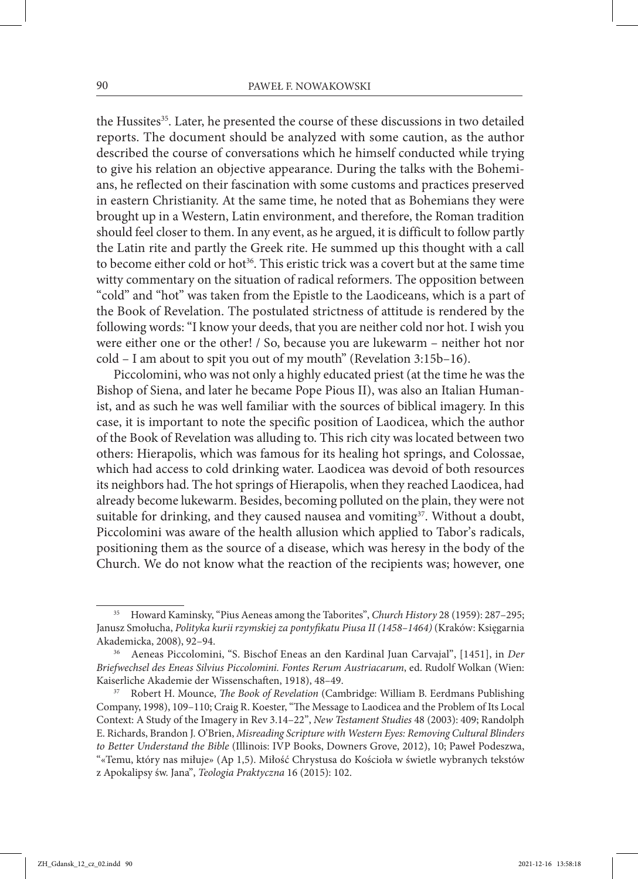the Hussites<sup>35</sup>. Later, he presented the course of these discussions in two detailed reports. The document should be analyzed with some caution, as the author described the course of conversations which he himself conducted while trying to give his relation an objective appearance. During the talks with the Bohemians, he reflected on their fascination with some customs and practices preserved in eastern Christianity. At the same time, he noted that as Bohemians they were brought up in a Western, Latin environment, and therefore, the Roman tradition should feel closer to them. In any event, as he argued, it is difficult to follow partly the Latin rite and partly the Greek rite. He summed up this thought with a call to become either cold or hot<sup>36</sup>. This eristic trick was a covert but at the same time witty commentary on the situation of radical reformers. The opposition between "cold" and "hot" was taken from the Epistle to the Laodiceans, which is a part of the Book of Revelation. The postulated strictness of attitude is rendered by the following words: "I know your deeds, that you are neither cold nor hot. I wish you were either one or the other! / So, because you are lukewarm – neither hot nor cold – I am about to spit you out of my mouth" (Revelation 3:15b–16).

Piccolomini, who was not only a highly educated priest (at the time he was the Bishop of Siena, and later he became Pope Pious II), was also an Italian Humanist, and as such he was well familiar with the sources of biblical imagery. In this case, it is important to note the specific position of Laodicea, which the author of the Book of Revelation was alluding to. This rich city was located between two others: Hierapolis, which was famous for its healing hot springs, and Colossae, which had access to cold drinking water. Laodicea was devoid of both resources its neighbors had. The hot springs of Hierapolis, when they reached Laodicea, had already become lukewarm. Besides, becoming polluted on the plain, they were not suitable for drinking, and they caused nausea and vomiting<sup>37</sup>. Without a doubt, Piccolomini was aware of the health allusion which applied to Tabor's radicals, positioning them as the source of a disease, which was heresy in the body of the Church. We do not know what the reaction of the recipients was; however, one

<sup>35</sup> Howard Kaminsky, "Pius Aeneas among the Taborites", *Church History* 28 (1959): 287–295; Janusz Smołucha, *Polityka kurii rzymskiej za pontyfikatu Piusa II (1458–1464)* (Kraków: Księgarnia Akademicka, 2008), 92–94.

<sup>36</sup> Aeneas Piccolomini, "S. Bischof Eneas an den Kardinal Juan Carvajal", [1451], in *Der Briefwechsel des Eneas Silvius Piccolomini. Fontes Rerum Austriacarum*, ed. Rudolf Wolkan (Wien: Kaiserliche Akademie der Wissenschaften, 1918), 48–49.

<sup>37</sup> Robert H. Mounce, *The Book of Revelation* (Cambridge: William B. Eerdmans Publishing Company, 1998), 109–110; Craig R. Koester, "The Message to Laodicea and the Problem of Its Local Context: A Study of the Imagery in Rev 3.14–22", *New Testament Studies* 48 (2003): 409; Randolph E. Richards, Brandon J. O'Brien, *Misreading Scripture with Western Eyes: Removing Cultural Blinders to Better Understand the Bible* (Illinois: IVP Books, Downers Grove, 2012), 10; Paweł Podeszwa, "«Temu, który nas miłuje» (Ap 1,5). Miłość Chrystusa do Kościoła w świetle wybranych tekstów z Apokalipsy św. Jana", *Teologia Praktyczna* 16 (2015): 102.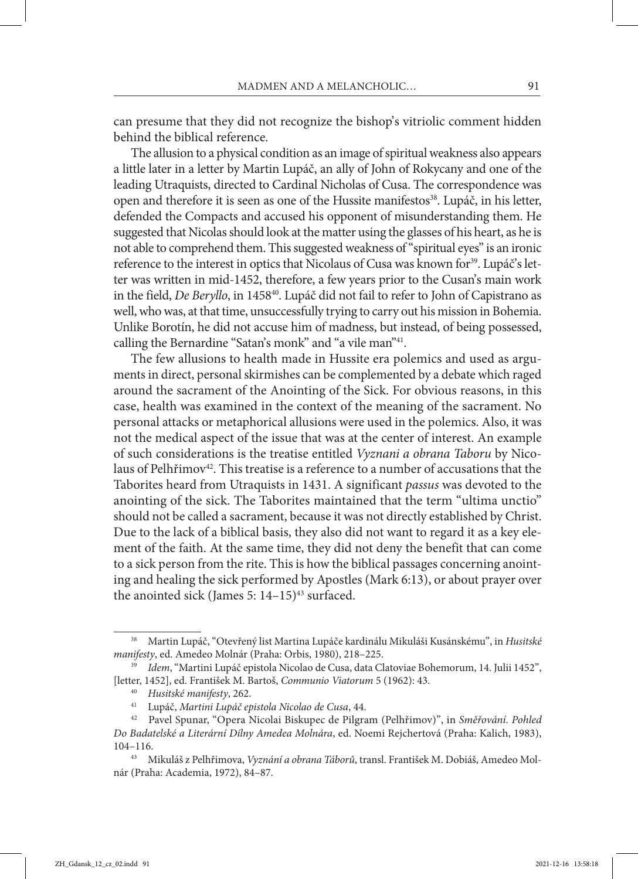can presume that they did not recognize the bishop's vitriolic comment hidden behind the biblical reference.

The allusion to a physical condition as an image of spiritual weakness also appears a little later in a letter by Martin Lupáč, an ally of John of Rokycany and one of the leading Utraquists, directed to Cardinal Nicholas of Cusa. The correspondence was open and therefore it is seen as one of the Hussite manifestos<sup>38</sup>. Lupáč, in his letter, defended the Compacts and accused his opponent of misunderstanding them. He suggested that Nicolas should look at the matter using the glasses of his heart, as he is not able to comprehend them. This suggested weakness of "spiritual eyes" is an ironic reference to the interest in optics that Nicolaus of Cusa was known for<sup>39</sup>. Lupáč's letter was written in mid-1452, therefore, a few years prior to the Cusan's main work in the field, *De Beryllo*, in 145840. Lupáč did not fail to refer to John of Capistrano as well, who was, at that time, unsuccessfully trying to carry out his mission in Bohemia. Unlike Borotín, he did not accuse him of madness, but instead, of being possessed, calling the Bernardine "Satan's monk" and "a vile man"41.

The few allusions to health made in Hussite era polemics and used as arguments in direct, personal skirmishes can be complemented by a debate which raged around the sacrament of the Anointing of the Sick. For obvious reasons, in this case, health was examined in the context of the meaning of the sacrament. No personal attacks or metaphorical allusions were used in the polemics. Also, it was not the medical aspect of the issue that was at the center of interest. An example of such considerations is the treatise entitled *Vyznani a obrana Taboru* by Nico‑ laus of Pelhřimov<sup>42</sup>. This treatise is a reference to a number of accusations that the Taborites heard from Utraquists in 1431. A significant *passus* was devoted to the anointing of the sick. The Taborites maintained that the term "ultima unctio" should not be called a sacrament, because it was not directly established by Christ. Due to the lack of a biblical basis, they also did not want to regard it as a key element of the faith. At the same time, they did not deny the benefit that can come to a sick person from the rite. This is how the biblical passages concerning anointing and healing the sick performed by Apostles (Mark 6:13), or about prayer over the anointed sick (James 5:  $14-15$ )<sup>43</sup> surfaced.

<sup>38</sup> Martin Lupáč, "Otevřený list Martina Lupáče kardinálu Mikuláši Kusánskému", in *Husitské manifesty*, ed. Amedeo Molnár (Praha: Orbis, 1980), 218–225.

<sup>39</sup> *Idem*, "Martini Lupáč epistola Nicolao de Cusa, data Clatoviae Bohemorum, 14. Julii 1452", [letter, 1452], ed. František M. Bartoš, *Communio Viatorum* 5 (1962): 43.

<sup>40</sup> *Husitské manifesty*, 262.

<sup>41</sup> Lupáč, *Martini Lupáč epistola Nicolao de Cusa*, 44.

<sup>42</sup> Pavel Spunar, "Opera Nicolai Biskupec de Pilgram (Pelhřimov)", in *Směřování. Pohled Do Badatelské a Literární Dílny Amedea Molnára*, ed. Noemi Rejchertová (Praha: Kalich, 1983), 104–116. 43 Mikuláš z Pelhřimova, *Vyznání a obrana Táborů*, transl. František M. Dobiáš, Amedeo Mol‑

nár (Praha: Academia, 1972), 84–87.